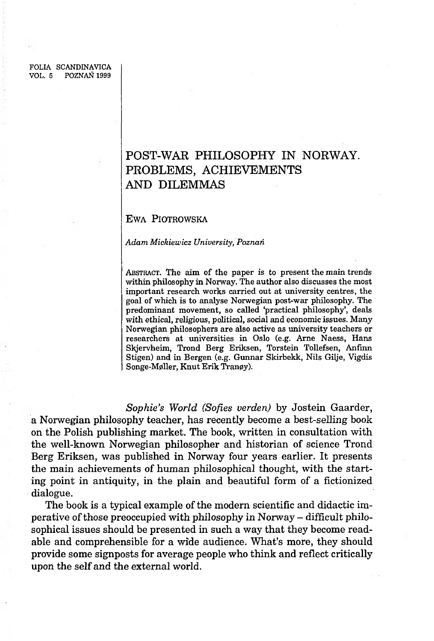FOLIA SCANDINAVICA<br>VOL. 5 POZNAŃ 1999 POZNAŃ 1999

## **POST-WAR PHILOSOPHY IN NORWAY. PROBLEMS, ACHIEVEMENTS AND DILEMMAS**

## EWA PIOTROWSKA

## *Adam Mickiewicz University, Poznań*

ABSTRACT. The aim of the paper is to present the main trends within philosophy in Norway. The author also discusses the most important research works carried out at university centres, the goal of which is to analyse Norwegian post-war philosophy. The predominant movement, so called 'practical philosophy', deals with ethical, religious, political, social and economic issues. Many Norwegian philosophers are also active as university teachers or researchers at universities in Oslo (e.g. Arne Naess, Hans Skjervheim, Trond Berg Eriksen, Torstein Tollefsen, Anfinn Stigen) and in Bergen (e.g. Gunnar Skirbekk, Nils Gilje, Vigdis Songe-Møller, Knut Erik Tranøy).

*Sophie's World (Sofies verden)* by Jostein Gaarder, a Norwegian philosophy teacher, has recently become a best-selling book on the Polish publishing market. The book, written in consultation with the well-known Norwegian philosopher and historian of science Trond Berg Eriksen, was published in Norway four years earlier. It presents the main achievements of human philosophical thought, with the starting point in antiquity, in the plain and beautiful form of a fictionized dialogue.

The book is a typical example of the modern scientific and didactic imperative of those preoccupied with philosophy in Norway - difficult philosophical issues should be presented in such a way that they become readable and comprehensible for a wide audience. What's more, they should provide some signposts for average people who think and reflect critically upon the self and the external world.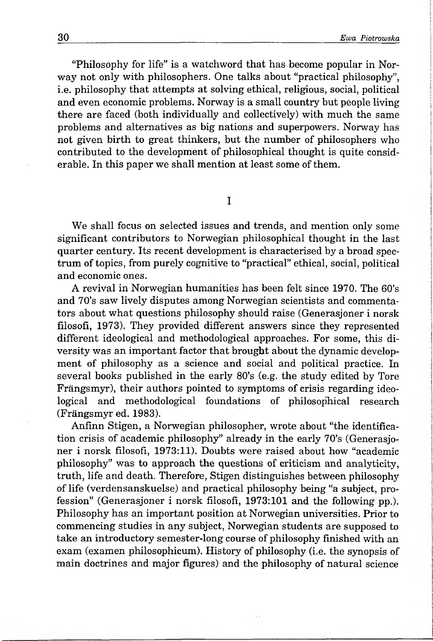"Philosophy for life" is a watchword that has become popular in Norway not only with philosophers. One talks about "practical philosophy", i.e. philosophy that attempts at solving ethical, religious, social, political and even economic problems. Norway is a small country but people living there are faced (both individually and collectively) with much the same problems and alternatives as big nations and superpowers. Norway has not given birth to great thinkers, but the number of philosophers who contributed to the development of philosophical thought is quite considerable. In this paper we shall mention at least some of them.

I

We shall focus on selected issues and trends, and mention only some significant contributors to Norwegian philosophical thought in the last quarter century. Its recent development is characterised by a broad spectrum of topics, from purely cognitive to "practical" ethical, social, political and economic ones.

A revival in Norwegian humanities has been felt since 1970. The 60's and 70's saw lively disputes among Norwegian scientists and commentators about what questions philosophy should raise (Generasjoner i norsk filosofi, 1973). They provided different answers since they represented different ideological and methodological approaches. For some, this diversity was an important factor that brought about the dynamic development of philosophy as a science and social and political practice. In several books published in the early 80's (e.g. the study edited by Tore Frángsmyr), their authors pointed to symptoms of crisis regarding ideological and methodological foundations of philosophical research (Frángsmyr ed. 1983).

Anfinn Stigen, a Norwegian philosopher, wrote about "the identification crisis of academic philosophy" already in the early 70's (Generasjoner i norsk filosofi, 1973:11). Doubts were raised about how "academic philosophy" was to approach the questions of criticism and analyticity, truth, life and death. Therefore, Stigen distinguishes between philosophy of life (verdensanskuelse) and practical philosophy being "a subject, profession" (Generasjoner i norsk filosofi, 1973:101 and the following pp.). Philosophy has an important position at Norwegian universities. Prior to commencing studies in any subject, Norwegian students are supposed to take an introductory semester-long course of philosophy finished with an exam (examen philosophicum). History of philosophy (i.e. the synopsis of main doctrines and major figures) and the philosophy of natural science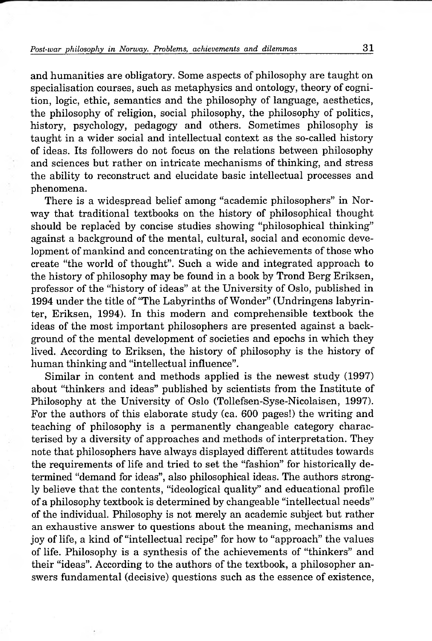and humanities are obligatory. Some aspects of philosophy are taught on specialisation courses, such as metaphysics and ontology, theory of cognition, logic, ethic, semantics and the philosophy of language, aesthetics, the philosophy of religion, social philosophy, the philosophy of politics, history, psychology, pedagogy and others. Sometimes philosophy is taught in a wider social and intellectual context as the so-called history of ideas. Its followers do not focus on the relations between philosophy and sciences but rather on intricate mechanisms of thinking, and stress the ability to reconstruct and elucidate basic intellectual processes and phenomena.

There is a widespread belief among "academic philosophers" in Norway that traditional textbooks on the history of philosophical thought should be replaced by concise studies showing "philosophical thinking" against a background of the mental, cultural, social and economic development of mankind and concentrating on the achievements of those who create "the world of thought". Such a wide and integrated approach to the history of philosophy may be found in a book by Trond Berg Eriksen, professor of the "history of ideas" at the University of Oslo, published in 1994 under the title of "The Labyrinths of Wonder" (Undringens labyrinter, Eriksen, 1994). In this modern and comprehensible textbook the ideas of the most important philosophers are presented against a background of the mental development of societies and epochs in which they lived. According to Eriksen, the history of philosophy is the history of human thinking and "intellectual influence".

Similar in content and methods applied is the newest study (1997) about "thinkers and ideas" published by scientists from the Institute of Philosophy at the University of Oslo (Tollefsen-Syse-Nicolaisen, 1997). For the authors of this elaborate study (ca. 600 pages!) the writing and teaching of philosophy is a permanently changeable category characterised by a diversity of approaches and methods of interpretation. They note that philosophers have always displayed different attitudes towards the requirements of life and tried to set the "fashion" for historically determined "demand for ideas", also philosophical ideas. The authors strongly believe that the contents, "ideological quality" and educational profile of a philosophy textbook is determined by changeable "intellectual needs" of the individual. Philosophy is not merely an academic subject but rather an exhaustive answer to questions about the meaning, mechanisms and joy of life, a kind of "intellectual recipe" for how to "approach" the values of life. Philosophy is a synthesis of the achievements of "thinkers" and their "ideas". According to the authors of the textbook, a philosopher answers fundamental (decisive) questions such as the essence of existence,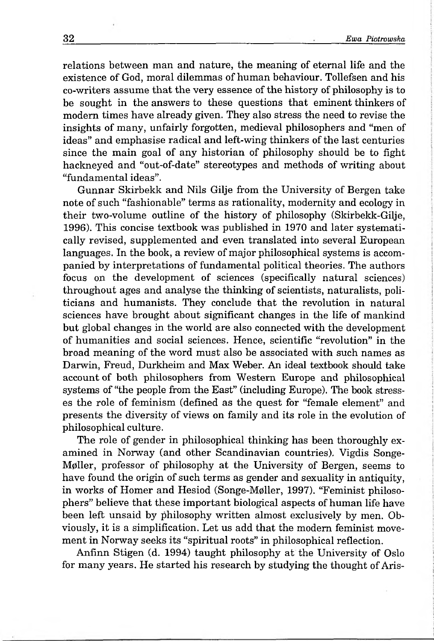relations between man and nature, the meaning of eternal life and the existence of God, moral dilemmas of human behaviour. Tollefsen and his co-writers assume that the very essence of the history of philosophy is to be sought in the answers to these questions that eminent thinkers of modern times have already given. They also stress the need to revise the insights of many, unfairly forgotten, medieval philosophers and "men of ideas" and emphasise radical and left-wing thinkers of the last centuries since the main goal of any historian of philosophy should be to fight hackneyed and "out-of-date" stereotypes and methods of writing about "fundamental ideas".

Gunnar Skirbekk and Nils Gilje from the University of Bergen take note of such "fashionable" terms as rationality, modernity and ecology in their two-volume outline of the history of philosophy (Skirbekk-Gilje, 1996). This concise textbook was published in 1970 and later systematically revised, supplemented and even translated into several European languages. In the book, a review of major philosophical systems is accompanied by interpretations of fundamental political theories. The authors focus on the development of sciences (specifically natural sciences) throughout ages and analyse the thinking of scientists, naturalists, politicians and humanists. They conclude that the revolution in natural sciences have brought about significant changes in the life of mankind but global changes in the world are also connected with the development of humanities and social sciences. Hence, scientific "revolution" in the broad meaning of the word must also be associated with such names as Darwin, Freud, Durkheim and Max Weber. An ideal textbook should take account of both philosophers from Western Europe and philosophical systems of "the people from the East" (including Europe). The book stresses the role of feminism (defined as the quest for "female element" and presents the diversity of views on family and its role in the evolution of philosophical culture.

The role of gender in philosophical thinking has been thoroughly examined in Norway (and other Scandinavian countries). Vigdis Songe-M0ller, professor of philosophy at the University of Bergen, seems to have found the origin of such terms as gender and sexuality in antiquity, in works of Homer and Hesiod (Songe-M0ller, 1997). "Feminist philosophers" believe that these important biological aspects of human life have been left unsaid by philosophy written almost exclusively by men. Obviously, it is a simplification. Let us add that the modern feminist movement in Norway seeks its "spiritual roots" in philosophical reflection.

Anfinn Stigen (d. 1994) taught philosophy at the University of Oslo for many years. He started his research by studying the thought of Aris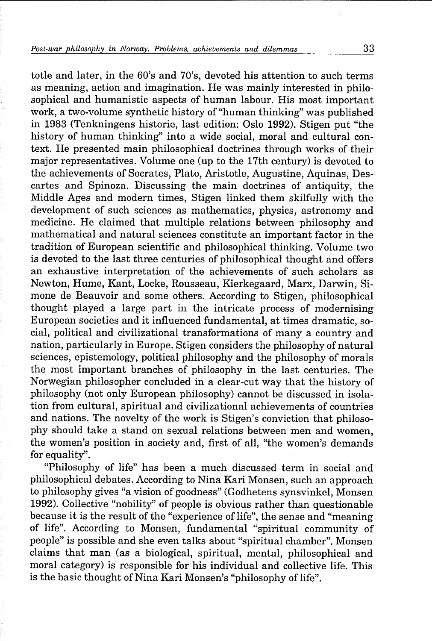totle and later, in the 60's and 70's, devoted his attention to such terms as meaning, action and imagination. He was mainly interested in philosophical and humanistic aspects of human labour. His most important work, a two-volume synthetic history of "human thinking" was published in 1983 (Tenkningens historie, last edition: Oslo 1992). Stigen put "the history of human thinking" into a wide social, moral and cultural context. He presented main philosophical doctrines through works of their major representatives. Volume one (up to the 17th century) is devoted to the achievements of Socrates, Plato, Aristotle, Augustine, Aquinas, Descartes and Spinoza. Discussing the main doctrines of antiquity, the Middle Ages and modern times, Stigen linked them skilfully with the development of such sciences as mathematics, physics, astronomy and medicine. He claimed that multiple relations between philosophy and mathematical and natural sciences constitute an important factor in the tradition of European scientific and philosophical thinking. Volume two is devoted to the last three centuries of philosophical thought and offers an exhaustive interpretation of the achievements of such scholars as Newton, Hume, Kant, Locke, Rousseau, Kierkegaard, Marx, Darwin, Simone de Beauvoir and some others. According to Stigen, philosophical thought played a large part in the intricate process of modernising European societies and it influenced fundamental, at times dramatic, social, political and civilizational transformations of many a country and nation, particularly in Europe. Stigen considers the philosophy of natural sciences, epistemology, political philosophy and the philosophy of morals the most important branches of philosophy in the last centuries. The Norwegian philosopher concluded in a clear-cut way that the history of philosophy (not only European philosophy) cannot be discussed in isolation from cultural, spiritual and civilizational achievements of countries and nations. The novelty of the work is Stigen's conviction that philosophy should take a stand on sexual relations between men and women, the women's position in society and, first of all, "the women's demands for equality".

"Philosophy of life" has been a much discussed term in social and philosophical debates. According to Nina Kari Monsen, such an approach to philosophy gives "a vision of goodness" (Godhetens synsvinkel, Monsen 1992). Collective "nobility" of people is obvious rather than questionable because it is the result of the "experience of life", the sense and "meaning of life". According to Monsen, fundamental "spiritual community of people" is possible and she even talks about "spiritual chamber". Monsen claims that man (as a biological, spiritual, mental, philosophical and moral category) is responsible for his individual and collective life. This is the basic thought of Nina Kari Monsen's "philosophy of life".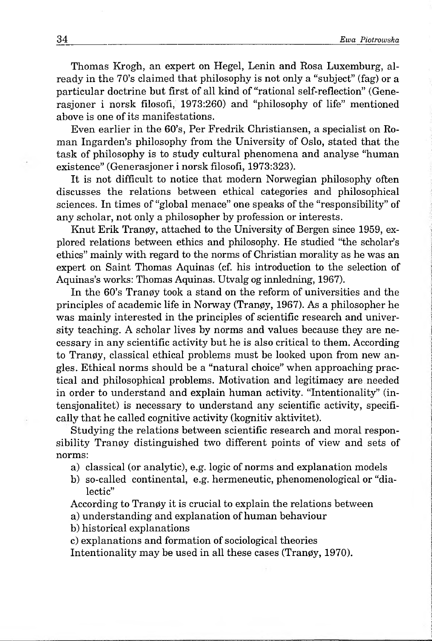Thomas Krogh, an expert on Hegel, Lenin and Rosa Luxemburg, already in the 70's claimed that philosophy is not only a "subject" (fag) or a particular doctrine but first of all kind of "rational self-reflection" (Generasjoner i norsk filosofi, 1973:260) and "philosophy of life" mentioned above is one of its manifestations.

Even earlier in the 60's, Per Fredrik Christiansen, a specialist on Roman Ingarden's philosophy from the University of Oslo, stated that the task of philosophy is to study cultural phenomena and analyse "human existence" (Generasjoner i norsk filosofi, 1973:323).

It is not difficult to notice that modern Norwegian philosophy often discusses the relations between ethical categories and philosophical sciences. In times of "global menace" one speaks of the "responsibility" of any scholar, not only a philosopher by profession or interests.

Knut Erik Tranøy, attached to the University of Bergen since 1959, explored relations between ethics and philosophy. He studied "the scholar's ethics" mainly with regard to the norms of Christian morality as he was an expert on Saint Thomas Aquinas (cf. his introduction to the selection of Aquinas's works: Thomas Aquinas. Utvalg og innledning, 1967).

In the 60's Trangy took a stand on the reform of universities and the principles of academic life in Norway (Trangy,  $1967$ ). As a philosopher he was mainly interested in the principles of scientific research and university teaching. A scholar lives by norms and values because they are necessary in any scientific activity but he is also critical to them. According to Trangy, classical ethical problems must be looked upon from new angles. Ethical norms should be a "natural choice" when approaching practical and philosophical problems. Motivation and legitimacy are needed in order to understand and explain human activity. "Intentionality" (intensjonalitet) is necessary to understand any scientific activity, specifically that he called cognitive activity (kognitiv aktivitet).

Studying the relations between scientific research and moral responsibility Trangy distinguished two different points of view and sets of norms:

- a) classical (or analytic), e.g. logic of norms and explanation models
- b) so-called continental, e.g. hermeneutic, phenomenological or "dialectic"

According to Trangy it is crucial to explain the relations between

- a) understanding and explanation of human behaviour
- b) historical explanations
- c) explanations and formation of sociological theories

Intentionality may be used in all these cases (Trangy, 1970).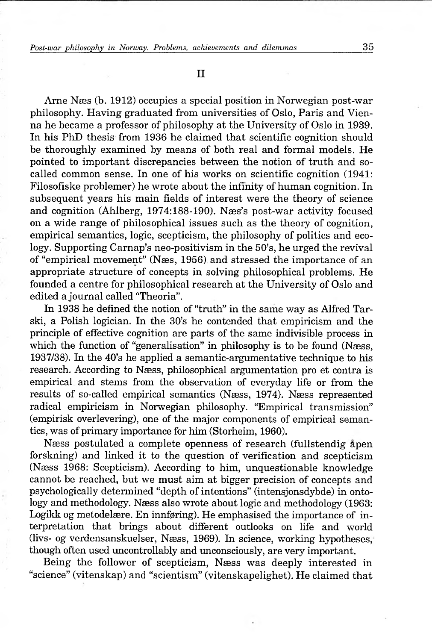II

Arne Næs (b. 1912) occupies a special position in Norwegian post-war philosophy. Having graduated from universities of Oslo, Paris and Vienna he became a professor of philosophy at the University of Oslo in 1939. In his PhD thesis from 1936 he claimed that scientific cognition should be thoroughly examined by means of both real and formal models. He pointed to important discrepancies between the notion of truth and socalled common sense. In one of his works on scientific cognition (1941: Filosofiske problemer) he wrote about the infinity of human cognition. In subsequent years his main fields of interest were the theory of science and cognition (Ahlberg, 1974:188-190). Naes's post-war activity focused on a wide range of philosophical issues such as the theory of cognition, empirical semantics, logic, scepticism, the philosophy of politics and ecology. Supporting Carnap's neo-positivism in the 50's, he urged the revival of "empirical movement" (Naes, 1956) and stressed the importance of an appropriate structure of concepts in solving philosophical problems. He founded a centre for philosophical research at the University of Oslo and edited a journal called "Theoria".

In 1938 he defined the notion of "truth" in the same way as Alfred Tarski, a Polish logician. In the 30's he contended that empiricism and the principle of effective cognition are parts of the same indivisible process in which the function of "generalisation" in philosophy is to be found (Næss, 1937/38). In the 40's he applied a semantic-argumentative technique to his research. According to Naess, philosophical argumentation pro et contra is empirical and stems from the observation of everyday life or from the results of so-called empirical semantics (Næss, 1974). Næss represented radical empiricism in Norwegian philosophy. "Empirical transmission" (empirisk overlevering), one of the major components of empirical semantics, was of primary importance for him (Storheim, 1960).

Næss postulated a complete openness of research (fullstendig åpen forskning) and linked it to the question of verification and scepticism (Naess 1968: Scepticism). According to him, unquestionable knowledge cannot be reached, but we must aim at bigger precision of concepts and psychologically determined "depth of intentions" (intensjonsdybde) in ontology and methodology. Næss also wrote about logic and methodology (1963: Logikk og metodelære. En innføring). He emphasised the importance of interpretation that brings about different outlooks on life and world (livs- og verdensanskuelser, Naess, 1969). In science, working hypotheses, though often used uncontrollably and unconsciously, are very important.

Being the follower of scepticism, Naess was deeply interested in "science" (vitenskap) and "scientism" (vitenskapelighet). He claimed that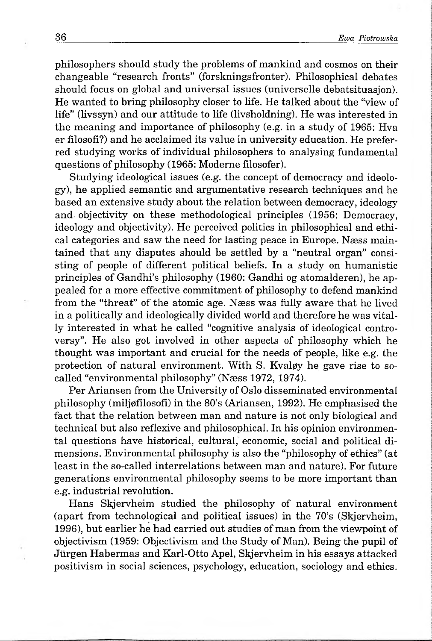philosophers should study the problems of mankind and cosmos on their changeable "research fronts" (forskningsfronter). Philosophical debates should focus on global and universal issues (universelle debatsituasjon). He wanted to bring philosophy closer to life. He talked about the "view of life" (livssyn) and our attitude to life (livsholdning). He was interested in the meaning and importance of philosophy (e.g. in a study of 1965: Hva er filosofi?) and he acclaimed its value in university education. He preferred studying works of individual philosophers to analysing fundamental questions of philosophy (1965: Moderne filosofer).

Studying ideological issues (e.g. the concept of democracy and ideology), he applied semantic and argumentative research techniques and he based an extensive study about the relation between democracy, ideology and objectivity on these methodological principles (1956: Democracy, ideology and objectivity). He perceived politics in philosophical and ethical categories and saw the need for lasting peace in Europe. Næss maintained that any disputes should be settled by a "neutral organ" consisting of people of different political beliefs. In a study on humanistic principles of Gandhi's philosophy (1960: Gandhi og atomalderen), he appealed for a more effective commitment of philosophy to defend mankind from the "threat" of the atomic age. Naess was fully aware that he lived in a politically and ideologically divided world and therefore he was vitally interested in what he called "cognitive analysis of ideological controversy". He also got involved in other aspects of philosophy which he thought was important and crucial for the needs of people, like e.g. the protection of natural environment. With S. Kvaløy he gave rise to socalled "environmental philosophy" (Næss 1972, 1974).

Per Ariansen from the University of Oslo disseminated environmental philosophy (miljøfilosofi) in the 80's (Ariansen, 1992). He emphasised the fact that the relation between man and nature is not only biological and technical but also reflexive and philosophical. In his opinion environmental questions have historical, cultural, economic, social and political dimensions. Environmental philosophy is also the "philosophy of ethics" (at least in the so-called interrelations between man and nature). For future generations environmental philosophy seems to be more important than e.g. industrial revolution.

Hans Skjervheim studied the philosophy of natural environment (apart from technological and political issues) in the 70's (Skjervheim, 1996), but earlier he had carried out studies of man from the viewpoint of objectivism (1959: Objectivism and the Study of Man). Being the pupil of Jürgen Habermas and Karl-Otto Apel, Skjervheim in his essays attacked positivism in social sciences, psychology, education, sociology and ethics.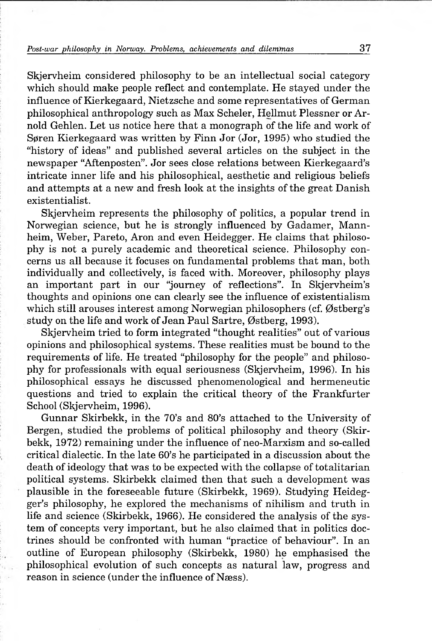Skjervheim considered philosophy to be an intellectual social category which should make people reflect and contemplate. He stayed under the influence of Kierkegaard, Nietzsche and some representatives of German philosophical anthropology such as Max Scheler, Hellmut Plessner or Arnold Gehlen. Let us notice here that a monograph of the life and work of Søren Kierkegaard was written by Finn Jor (Jor, 1995) who studied the "history of ideas" and published several articles on the subject in the newspaper "Aftenposten". Jor sees close relations between Kierkegaard's intricate inner life and his philosophical, aesthetic and religious beliefs and attempts at a new and fresh look at the insights of the great Danish existentialist.

Skjervheim represents the philosophy of politics, a popular trend in Norwegian science, but he is strongly influenced by Gadamer, Mannheim, Weber, Pareto, Aron and even Heidegger. He claims that philosophy is not a purely academic and theoretical science. Philosophy concerns us all because it focuses on fundamental problems that man, both individually and collectively, is faced with. Moreover, philosophy plays an important part in our "journey of reflections". In Skjervheim's thoughts and opinions one can clearly see the influence of existentialism which still arouses interest among Norwegian philosophers (cf. Østberg's study on the life and work of Jean Paul Sartre, Østberg, 1993).

Skjervheim tried to form integrated "thought realities" out of various opinions and philosophical systems. These realities must be bound to the requirements of life. He treated "philosophy for the people" and philosophy for professionals with equal seriousness (Skjervheim, 1996). In his philosophical essays he discussed phenomenological and hermeneutic questions and tried to explain the critical theory of the Frankfurter School (Skjervheim, 1996).

Gunnar Skirbekk, in the 70's and 80's attached to the University of Bergen, studied the problems of political philosophy and theory (Skirbekk, 1972) remaining under the influence of neo-Marxism and so-called critical dialectic. In the late 60's he participated in a discussion about the death of ideology that was to be expected with the collapse of totalitarian political systems. Skirbekk claimed then that such a development was plausible in the foreseeable future (Skirbekk, 1969). Studying Heidegger's philosophy, he explored the mechanisms of nihilism and truth in life and science (Skirbekk, 1966). He considered the analysis of the system of concepts very important, but he also claimed that in politics doctrines should be confronted with human "practice of behaviour". In an outline of European philosophy (Skirbekk, 1980) he emphasised the philosophical evolution of such concepts as natural law, progress and reason in science (under the influence of Næss).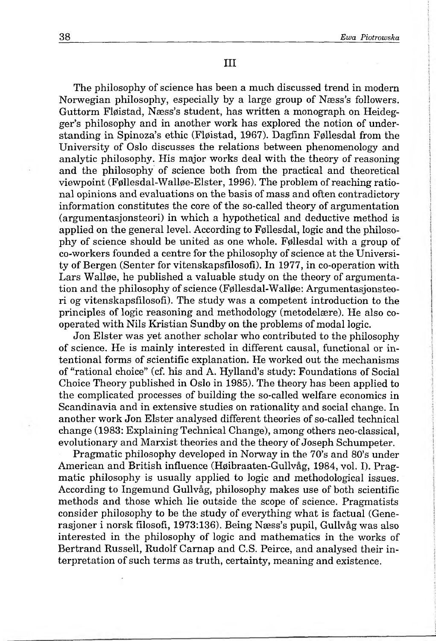The philosophy of science has been a much discussed trend in modern Norwegian philosophy, especially by a large group of Næss's followers. Guttorm Fløistad, Næss's student, has written a monograph on Heidegger's philosophy and in another work has explored the notion of understanding in Spinoza's ethic (Fløistad, 1967). Dagfinn Føllesdal from the University of Oslo discusses the relations between phenomenology and analytic philosophy. His major works deal with the theory of reasoning and the philosophy of science both from the practical and theoretical viewpoint (Føllesdal-Walløe-Elster, 1996). The problem of reaching rational opinions and evaluations on the basis of mass and often contradictory information constitutes the core of the so-called theory of argumentation (argumentasjonsteori) in which a hypothetical and deductive method is applied on the general level. According to Føllesdal, logic and the philosophy of science should be united as one whole. Follesdal with a group of co-workers founded a centre for the philosophy of science at the University of Bergen (Senter for vitenskapsfilosofi). In 1977, in co-operation with Lars Wallge, he published a valuable study on the theory of argumentation and the philosophy of science (Føllesdal-Walløe: Argumentasjonsteori og vitenskapsfilosofi). The study was a competent introduction to the principles of logic reasoning and methodology (metodelaere). He also cooperated with Nils Kristian Sundby on the problems of modal logic.

Jon Elster was yet another scholar who contributed to the philosophy of science. He is mainly interested in different causal, functional or intentional forms of scientific explanation. He worked out the mechanisms of "rational choice" (cf. his and A. Hylland's study: Foundations of Social Choice Theory published in Oslo in 1985). The theory has been applied to the complicated processes of building the so-called welfare economics in Scandinavia and in extensive studies on rationality and social change. In another work Jon Elster analysed different theories of so-called technical change (1983: Explaining Technical Change), among others neo-classical, evolutionary and Marxist theories and the theory of Joseph Schumpeter.

Pragmatic philosophy developed in Norway in the 70's and 80's under American and British influence (Høibraaten-Gullvåg, 1984, vol. I). Pragmatic philosophy is usually applied to logic and methodological issues. According to Ingemund Gullvag, philosophy makes use of both scientific methods and those which lie outside the scope of science. Pragmatists consider philosophy to be the study of everything what is factual (Generasjoner i norsk filosofi, 1973:136). Being Næss's pupil, Gullvåg was also interested in the philosophy of logic and mathematics in the works of Bertrand Russell, Rudolf Carnap and C.S. Peirce, and analysed their interpretation of such terms as truth, certainty, meaning and existence.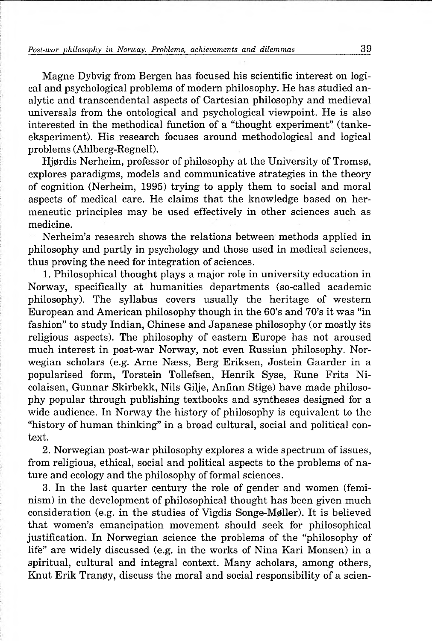Magne Dybvig from Bergen has focused his scientific interest on logical and psychological problems of modern philosophy. He has studied analytic and transcendental aspects of Cartesian philosophy and medieval universals from the ontological and psychological viewpoint. He is also interested in the methodical function of a "thought experiment" (tankeeksperiment). His research focuses around methodological and logical problems (Ahlberg-Regnell).

Hjørdis Nerheim, professor of philosophy at the University of Tromsø, explores paradigms, models and communicative strategies in the theory of cognition (Nerheim, 1995) trying to apply them to social and moral aspects of medical care. He claims that the knowledge based on hermeneutic principles may be used effectively in other sciences such as medicine.

Nerheim's research shows the relations between methods applied in philosophy and partly in psychology and those used in medical sciences, thus proving the need for integration of sciences.

1. Philosophical thought plays a major role in university education in Norway, specifically at humanities departments (so-called academic philosophy). The syllabus covers usually the heritage of western European and American philosophy though in the 60's and 70's it was "in fashion" to study Indian, Chinese and Japanese philosophy (or mostly its religious aspects). The philosophy of eastern Europe has not aroused much interest in post-war Norway, not even Russian philosophy. Norwegian scholars (e.g. Arne Naess, Berg Eriksen, Jostein Gaarder in a popularised form, Torstein Tollefsen, Henrik Syse, Rune Frits Nicolaisen, Gunnar Skirbekk, Nils Gilje, Anfinn Stige) have made philosophy popular through publishing textbooks and syntheses designed for a wide audience. In Norway the history of philosophy is equivalent to the "history of human thinking" in a broad cultural, social and political context.

2. Norwegian post-war philosophy explores a wide spectrum of issues, from religious, ethical, social and political aspects to the problems of nature and ecology and the philosophy of formal sciences.

3. In the last quarter century the role of gender and women (feminism) in the development of philosophical thought has been given much consideration (e.g. in the studies of Vigdis Songe-M0ller). It is believed that women's emancipation movement should seek for philosophical justification. In Norwegian science the problems of the "philosophy of life" are widely discussed (e.g. in the works of Nina Kari Monsen) in a spiritual, cultural and integral context. Many scholars, among others, Knut Erik Tranøy, discuss the moral and social responsibility of a scien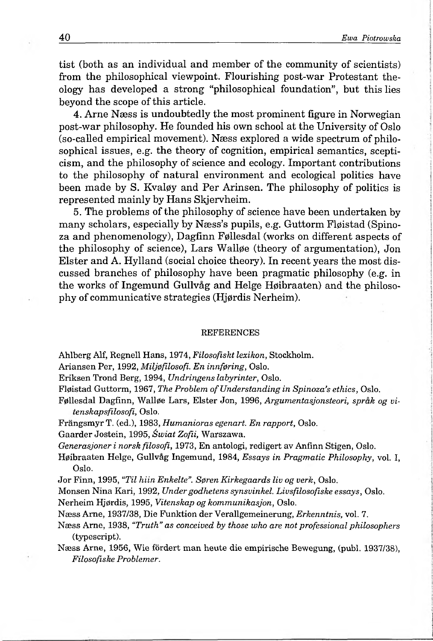tist (both as an individual and member of the community of scientists) from the philosophical viewpoint. Flourishing post-war Protestant theology has developed a strong "philosophical foundation", but this lies beyond the scope of this article.

4. Arne Naess is undoubtedly the most prominent figure in Norwegian post-war philosophy. He founded his own school at the University of Oslo (so-called empirical movement). Ness explored a wide spectrum of philosophical issues, e.g. the theory of cognition, empirical semantics, scepticism, and the philosophy of science and ecology. Important contributions to the philosophy of natural environment and ecological politics have been made by S. Kvaløy and Per Arinsen. The philosophy of politics is represented mainly by Hans Skjervheim.

5. The problems of the philosophy of science have been undertaken by many scholars, especially by Næss's pupils, e.g. Guttorm Fløistad (Spinoza and phenomenology), Dagfinn Føllesdal (works on different aspects of the philosophy of science), Lars Wallge (theory of argumentation), Jon Elster and A. Hylland (social choice theory). In recent years the most discussed branches of philosophy have been pragmatic philosophy (e.g. in the works of Ingemund Gullvåg and Helge Høibraaten) and the philosophy of communicative strategies (Hjørdis Nerheim).

## REFERENCES

Ahlberg Alf, Regnell Hans, 1974, *Filosoftskt lexikon,* Stockholm.

- Ariansen Per, 1992, *Milj0filosofi. En innf0ring,* Oslo.
- Eriksen Trond Berg, 1994, *Undringens labyrinter,* Oslo.
- Fløistad Guttorm, 1967, *The Problem of Understanding in Spinoza's ethics*, Oslo.
- F0llesdal Dagfinn, Wall0e Lars, Elster Jon, 1996, *Argumentasjonsteori, sprak og vitenskapsfilosofi,* Oslo.
- Frangsmyr T. (ed.), 1983, *Humanioras egenart. En rapport,* Oslo.
- Gaarder Jostein, 1995, *Świat Zofii,* Warszawa.
- *Generasjoner i norsk filosofi,* 1973, En antologi, redigert av Anfinn Stigen, Oslo.
- H0ibraaten Helge, Gullvag Ingemund, 1984, *Essays in Pragmatic Philosophy,* vol. I, Oslo.
- Jor Finn, 1995, *"Til hiin Enkelte". S0ren Kirkegaards liv og verk,* Oslo.
- Monsen Nina Kari, 1992, *Under godhetens synsvinkel. Livsfilosofiske essays,* Oslo.
- Nerheim Hj0rdis, 1995, *Vitenskap og kommunikasjon,* Oslo.
- Naess Arne, 1937/38, Die Funktion der Verallgemeinerung, *Erkenntnis,* vol. 7.
- Næss Arne, 1938, "Truth" as conceived by those who are not professional philosophers (typescript).
- Nsess Arne, 1956, Wie fordert man heute die empirische Bewegung, (publ. 1937/38), *Filosofiske Problemer.*